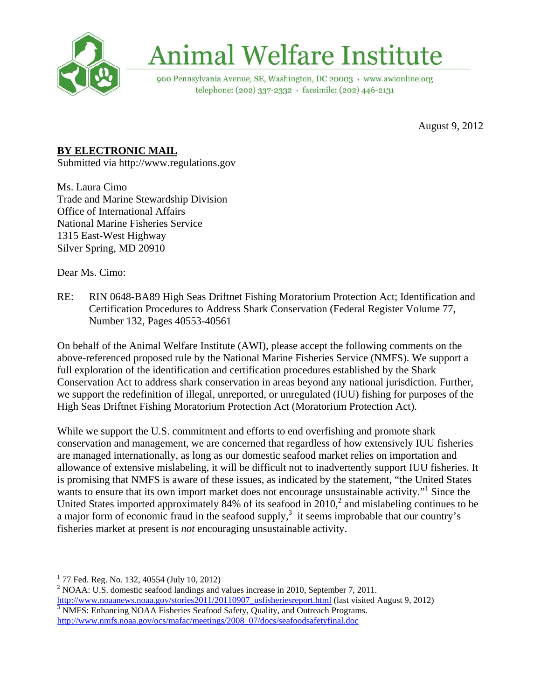

## **Animal Welfare Institute**

900 Pennsylvania Avenue, SE, Washington, DC 20003 · www.awionline.org telephone: (202) 337-2332 · facsimile: (202) 446-2131

August 9, 2012

## **BY ELECTRONIC MAIL**

Submitted via http://www.regulations.gov

Ms. Laura Cimo Trade and Marine Stewardship Division Office of International Affairs National Marine Fisheries Service 1315 East-West Highway Silver Spring, MD 20910

Dear Ms. Cimo:

RE: RIN 0648-BA89 High Seas Driftnet Fishing Moratorium Protection Act; Identification and Certification Procedures to Address Shark Conservation (Federal Register Volume 77, Number 132, Pages 40553-40561

On behalf of the Animal Welfare Institute (AWI), please accept the following comments on the above-referenced proposed rule by the National Marine Fisheries Service (NMFS). We support a full exploration of the identification and certification procedures established by the Shark Conservation Act to address shark conservation in areas beyond any national jurisdiction. Further, we support the redefinition of illegal, unreported, or unregulated (IUU) fishing for purposes of the High Seas Driftnet Fishing Moratorium Protection Act (Moratorium Protection Act).

While we support the U.S. commitment and efforts to end overfishing and promote shark conservation and management, we are concerned that regardless of how extensively IUU fisheries are managed internationally, as long as our domestic seafood market relies on importation and allowance of extensive mislabeling, it will be difficult not to inadvertently support IUU fisheries. It is promising that NMFS is aware of these issues, as indicated by the statement, "the United States wants to ensure that its own import market does not encourage unsustainable activity."<sup>1</sup> Since the United States imported approximately 84% of its seafood in  $2010<sup>2</sup>$  and mislabeling continues to be a major form of economic fraud in the seafood supply, $3$  it seems improbable that our country's fisheries market at present is *not* encouraging unsustainable activity.

 1 77 Fed. Reg. No. 132, 40554 (July 10, 2012)

<sup>&</sup>lt;sup>2</sup> NOAA: U.S. domestic seafood landings and values increase in 2010, September 7, 2011. http://www.noaanews.noaa.gov/stories2011/20110907\_usfisheriesreport.html (last visited August 9, 2012)  $3$  NMFS: Enhancing NOAA Fisheries Seafood Safety, Quality, and Outreach Programs. http://www.nmfs.noaa.gov/ocs/mafac/meetings/2008\_07/docs/seafoodsafetyfinal.doc